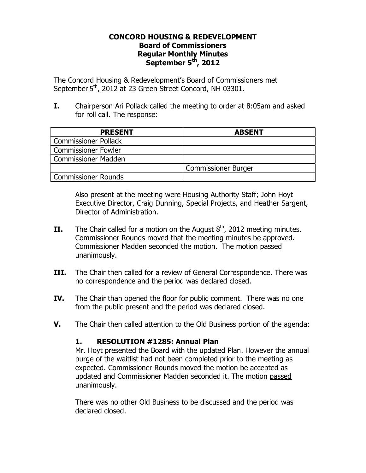### **CONCORD HOUSING & REDEVELOPMENT Board of Commissioners Regular Monthly Minutes September 5th, 2012**

The Concord Housing & Redevelopment's Board of Commissioners met September 5<sup>th</sup>, 2012 at 23 Green Street Concord, NH 03301.

**I.** Chairperson Ari Pollack called the meeting to order at 8:05am and asked for roll call. The response:

| <b>PRESENT</b>              | <b>ABSENT</b>              |
|-----------------------------|----------------------------|
| <b>Commissioner Pollack</b> |                            |
| <b>Commissioner Fowler</b>  |                            |
| <b>Commissioner Madden</b>  |                            |
|                             | <b>Commissioner Burger</b> |
| Commissioner Rounds         |                            |

Also present at the meeting were Housing Authority Staff; John Hoyt Executive Director, Craig Dunning, Special Projects, and Heather Sargent, Director of Administration.

- **II.** The Chair called for a motion on the August  $8<sup>th</sup>$ , 2012 meeting minutes. Commissioner Rounds moved that the meeting minutes be approved. Commissioner Madden seconded the motion. The motion passed unanimously.
- **III.** The Chair then called for a review of General Correspondence. There was no correspondence and the period was declared closed.
- **IV.** The Chair than opened the floor for public comment. There was no one from the public present and the period was declared closed.
- **V.** The Chair then called attention to the Old Business portion of the agenda:

### **1. RESOLUTION #1285: Annual Plan**

Mr. Hoyt presented the Board with the updated Plan. However the annual purge of the waitlist had not been completed prior to the meeting as expected. Commissioner Rounds moved the motion be accepted as updated and Commissioner Madden seconded it. The motion passed unanimously.

There was no other Old Business to be discussed and the period was declared closed.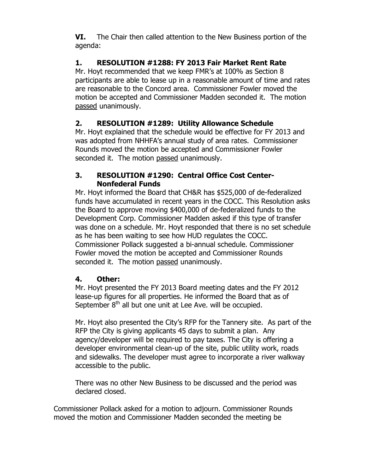**VI.** The Chair then called attention to the New Business portion of the agenda:

## **1. RESOLUTION #1288: FY 2013 Fair Market Rent Rate**

Mr. Hoyt recommended that we keep FMR's at 100% as Section 8 participants are able to lease up in a reasonable amount of time and rates are reasonable to the Concord area. Commissioner Fowler moved the motion be accepted and Commissioner Madden seconded it. The motion passed unanimously.

# **2. RESOLUTION #1289: Utility Allowance Schedule**

Mr. Hoyt explained that the schedule would be effective for FY 2013 and was adopted from NHHFA's annual study of area rates. Commissioner Rounds moved the motion be accepted and Commissioner Fowler seconded it. The motion passed unanimously.

### **3. RESOLUTION #1290: Central Office Cost Center-Nonfederal Funds**

Mr. Hoyt informed the Board that CH&R has \$525,000 of de-federalized funds have accumulated in recent years in the COCC. This Resolution asks the Board to approve moving \$400,000 of de-federalized funds to the Development Corp. Commissioner Madden asked if this type of transfer was done on a schedule. Mr. Hoyt responded that there is no set schedule as he has been waiting to see how HUD regulates the COCC. Commissioner Pollack suggested a bi-annual schedule. Commissioner Fowler moved the motion be accepted and Commissioner Rounds seconded it. The motion passed unanimously.

## **4. Other:**

Mr. Hoyt presented the FY 2013 Board meeting dates and the FY 2012 lease-up figures for all properties. He informed the Board that as of September  $8<sup>th</sup>$  all but one unit at Lee Ave. will be occupied.

Mr. Hoyt also presented the City's RFP for the Tannery site. As part of the RFP the City is giving applicants 45 days to submit a plan. Any agency/developer will be required to pay taxes. The City is offering a developer environmental clean-up of the site, public utility work, roads and sidewalks. The developer must agree to incorporate a river walkway accessible to the public.

There was no other New Business to be discussed and the period was declared closed.

Commissioner Pollack asked for a motion to adjourn. Commissioner Rounds moved the motion and Commissioner Madden seconded the meeting be